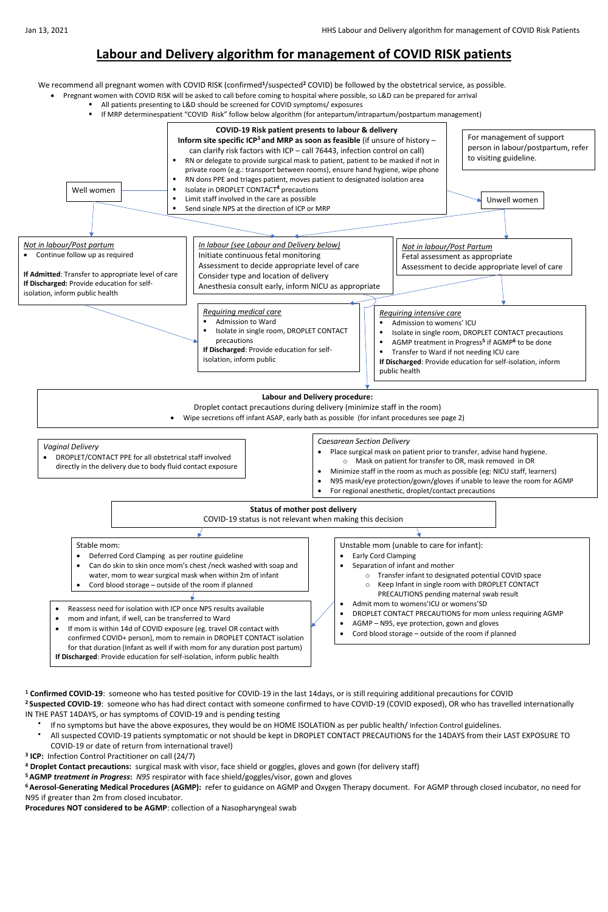# **Labour and Delivery algorithm for management of COVID RISK patients**

We recommend all pregnant women with COVID RISK (confirmed<sup>1</sup>/suspected<sup>2</sup> COVID) be followed by the obstetrical service, as possible.

- Pregnant women with COVID RISK will be asked to call before coming to hospital where possible, so L&D can be prepared for arrival
	- All patients presenting to L&D should be screened for COVID symptoms/ exposures
	- If MRP determinespatient "COVID Risk" follow below algorithm (for antepartum/intrapartum/postpartum management)

**<sup>1</sup> Confirmed COVID-19**: someone who has tested positive for COVID-19 in the last 14days, or is still requiring additional precautions for COVID <sup>2</sup> Suspected COVID-19: someone who has had direct contact with someone confirmed to have COVID-19 (COVID exposed), OR who has travelled internationally IN THE PAST 14DAYS, or has symptoms of COVID-19 and is pending testing

- $\bullet$ If no symptoms but have the above exposures, they would be on HOME ISOLATION as per public health/ Infection Control guidelines.
- All suspected COVID-19 patients symptomatic or not should be kept in DROPLET CONTACT PRECAUTIONS for the 14DAYS from their LAST EXPOSURE TO COVID-19 or date of return from international travel)
- **3 ICP:** Infection Control Practitioner on call (24/7)
- **<sup>4</sup> Droplet Contact precautions:** surgical mask with visor, face shield or goggles, gloves and gown (for delivery staff)
- **<sup>5</sup>AGMP** *treatment in Progress***:** *N95* respirator with face shield/goggles/visor, gown and gloves
- **<sup>6</sup>Aerosol-Generating Medical Procedures (AGMP):** refer to guidance on AGMP and Oxygen Therapy document. For AGMP through closed incubator, no need for N95 if greater than 2m from closed incubator.

**Procedures NOT considered to be AGMP**: collection of a Nasopharyngeal swab



Cord blood storage – outside of the room if planned

confirmed COVID+ person), mom to remain in DROPLET CONTACT isolation for that duration (Infant as well if with mom for any duration post partum) **If Discharged**: Provide education for self-isolation, inform public health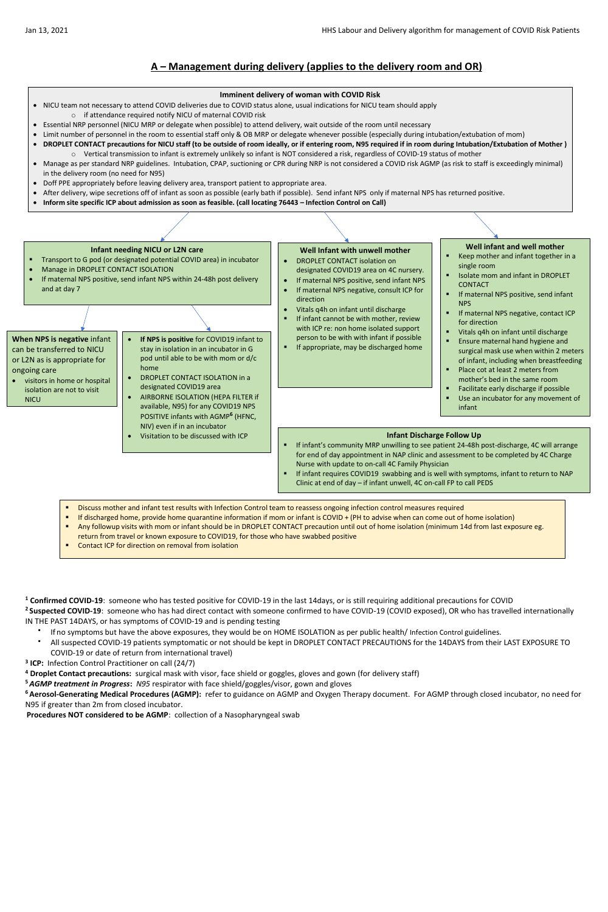# **A – Management during delivery (applies to the delivery room and OR)**

**<sup>1</sup> Confirmed COVID-19**: someone who has tested positive for COVID-19 in the last 14days, or is still requiring additional precautions for COVID <sup>2</sup> Suspected COVID-19: someone who has had direct contact with someone confirmed to have COVID-19 (COVID exposed), OR who has travelled internationally IN THE PAST 14DAYS, or has symptoms of COVID-19 and is pending testing

- If no symptoms but have the above exposures, they would be on HOME ISOLATION as per public health/ Infection Control guidelines.
	- All suspected COVID-19 patients symptomatic or not should be kept in DROPLET CONTACT PRECAUTIONS for the 14DAYS from their LAST EXPOSURE TO COVID-19 or date of return from international travel)
- **3 ICP:** Infection Control Practitioner on call (24/7)
- **<sup>4</sup> Droplet Contact precautions:** surgical mask with visor, face shield or goggles, gloves and gown (for delivery staff)
- **<sup>5</sup>***AGMP treatment in Progress***:** *N95* respirator with face shield/goggles/visor, gown and gloves
- **<sup>6</sup>Aerosol-Generating Medical Procedures (AGMP):** refer to guidance on AGMP and Oxygen Therapy document. For AGMP through closed incubator, no need for N95 if greater than 2m from closed incubator.
- **Procedures NOT considered to be AGMP**: collection of a Nasopharyngeal swab
- NICU team not necessary to attend COVID deliveries due to COVID status alone, usual indications for NICU team should apply o if attendance required notify NICU of maternal COVID risk
- Essential NRP personnel (NICU MRP or delegate when possible) to attend delivery, wait outside of the room until necessary
- Limit number of personnel in the room to essential staff only & OB MRP or delegate whenever possible (especially during intubation/extubation of mom)
- **DROPLET CONTACT precautions for NICU staff (to be outside of room ideally, or if entering room, N95 required if in room during Intubation/Extubation of Mother )** o Vertical transmission to infant is extremely unlikely so infant is NOT considered a risk, regardless of COVID-19 status of mother
- Manage as per standard NRP guidelines. Intubation, CPAP, suctioning or CPR during NRP is not considered a COVID risk AGMP (as risk to staff is exceedingly minimal) in the delivery room (no need for N95)
- Doff PPE appropriately before leaving delivery area, transport patient to appropriate area.
- After delivery, wipe secretions off of infant as soon as possible (early bath if possible). Send infant NPS only if maternal NPS has returned positive.
- **Inform site specific ICP about admission as soon as feasible. (call locating 76443 – Infection Control on Call)**

### **Imminent delivery of woman with COVID Risk**

- DROPLET CONTACT isolation on designated COVID19 area on 4C nursery.
- If maternal NPS positive, send infant NPS
- If maternal NPS negative, consult ICP for direction
- Vitals q4h on infant until discharge
- **If infant cannot be with mother, review** with ICP re: non home isolated support person to be with with infant if possible
- If appropriate, may be discharged home
- visitors in home or hospital isolation are not to visit **NICU**
- **If NPS is positive** for COVID19 infant to stay in isolation in an incubator in G pod until able to be with mom or d/c home
- DROPLET CONTACT ISOLATION in a designated COVID19 area
- AIRBORNE ISOLATION (HEPA FILTER if available, N95) for any COVID19 NPS POSITIVE infants with AGMP **6** (HFNC, NIV) even if in an incubator
- Visitation to be discussed with ICP **Infant Discharge Follow Up**

# **Well Infant with unwell mother**

### **Infant needing NICU or L2N care**

- Transport to G pod (or designated potential COVID area) in incubator
- Manage in DROPLET CONTACT ISOLATION
- If maternal NPS positive, send infant NPS within 24-48h post delivery and at day 7

### **Well infant and well mother**

- Keep mother and infant together in a single room
- Isolate mom and infant in DROPLET CONTACT
- If maternal NPS positive, send infant NPS
- If maternal NPS negative, contact ICP for direction
- Vitals q4h on infant until discharge
- **Ensure maternal hand hygiene and** surgical mask use when within 2 meters of infant, including when breastfeeding
- Place cot at least 2 meters from mother's bed in the same room
- Facilitate early discharge if possible
- Use an incubator for any movement of infant

# **When NPS is negative** infant can be transferred to NICU or L2N as is appropriate for ongoing care

- If infant's community MRP unwilling to see patient 24-48h post-discharge, 4C will arrange for end of day appointment in NAP clinic and assessment to be completed by 4C Charge Nurse with update to on-call 4C Family Physician
- If infant requires COVID19 swabbing and is well with symptoms, infant to return to NAP Clinic at end of day – if infant unwell, 4C on-call FP to call PEDS
- Discuss mother and infant test results with Infection Control team to reassess ongoing infection control measures required
- If discharged home, provide home quarantine information if mom or infant is COVID + (PH to advise when can come out of home isolation)
- Any followup visits with mom or infant should be in DROPLET CONTACT precaution until out of home isolation (minimum 14d from last exposure eg. return from travel or known exposure to COVID19, for those who have swabbed positive
- Contact ICP for direction on removal from isolation